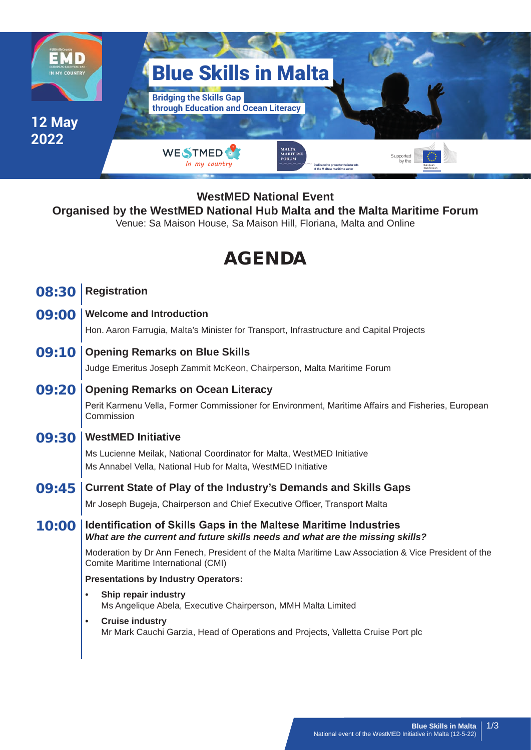

## **WestMED National Event**

### **Organised by the WestMED National Hub Malta and the Malta Maritime Forum**

Venue: Sa Maison House, Sa Maison Hill, Floriana, Malta and Online

# AGENDA

- 08:30 **Registration**
- 09:00 **Welcome and Introduction**

Hon. Aaron Farrugia, Malta's Minister for Transport, Infrastructure and Capital Projects

09:10 **Opening Remarks on Blue Skills**

Judge Emeritus Joseph Zammit McKeon, Chairperson, Malta Maritime Forum

#### 09:20 **Opening Remarks on Ocean Literacy**

Perit Karmenu Vella, Former Commissioner for Environment, Maritime Affairs and Fisheries, European Commission

#### 09:30 **WestMED Initiative**

Ms Lucienne Meilak, National Coordinator for Malta, WestMED Initiative Ms Annabel Vella, National Hub for Malta, WestMED Initiative

- 09:45 **Current State of Play of the Industry's Demands and Skills Gaps** Mr Joseph Bugeja, Chairperson and Chief Executive Officer, Transport Malta
- 10:00 **Identification of Skills Gaps in the Maltese Maritime Industries** *What are the current and future skills needs and what are the missing skills?*

Moderation by Dr Ann Fenech, President of the Malta Maritime Law Association & Vice President of the Comite Maritime International (CMI)

#### **Presentations by Industry Operators:**

- **• Ship repair industry** Ms Angelique Abela, Executive Chairperson, MMH Malta Limited
- **• Cruise industry** Mr Mark Cauchi Garzia, Head of Operations and Projects, Valletta Cruise Port plc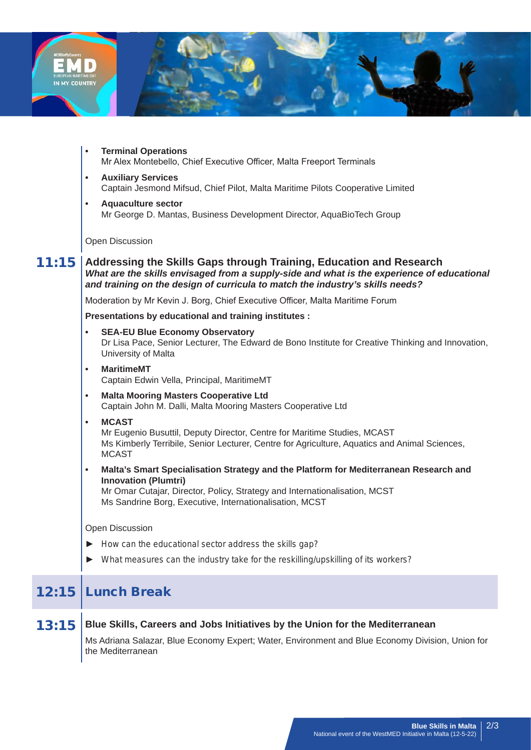

**• Terminal Operations** Mr Alex Montebello, Chief Executive Officer, Malta Freeport Terminals **• Auxiliary Services** Captain Jesmond Mifsud, Chief Pilot, Malta Maritime Pilots Cooperative Limited **• Aquaculture sector** Mr George D. Mantas, Business Development Director, AquaBioTech Group Open Discussion 11:15 **Addressing the Skills Gaps through Training, Education and Research** *What are the skills envisaged from a supply-side and what is the experience of educational and training on the design of curricula to match the industry's skills needs?* Moderation by Mr Kevin J. Borg, Chief Executive Officer, Malta Maritime Forum **Presentations by educational and training institutes : • SEA-EU Blue Economy Observatory** Dr Lisa Pace, Senior Lecturer, The Edward de Bono Institute for Creative Thinking and Innovation, University of Malta **• MaritimeMT** Captain Edwin Vella, Principal, MaritimeMT **• Malta Mooring Masters Cooperative Ltd** Captain John M. Dalli, Malta Mooring Masters Cooperative Ltd **• MCAST** Mr Eugenio Busuttil, Deputy Director, Centre for Maritime Studies, MCAST Ms Kimberly Terribile, Senior Lecturer, Centre for Agriculture, Aquatics and Animal Sciences, **MCAST • Malta's Smart Specialisation Strategy and the Platform for Mediterranean Research and Innovation (Plumtri)** Mr Omar Cutajar, Director, Policy, Strategy and Internationalisation, MCST Ms Sandrine Borg, Executive, Internationalisation, MCST Open Discussion ► *How can the educational sector address the skills gap?* ► *What measures can the industry take for the reskilling/upskilling of its workers?*

| 13:15 Blue Skills, Careers and Jobs Initiatives by the Union for the Mediterranean                                    |
|-----------------------------------------------------------------------------------------------------------------------|
| Ms Adriana Salazar, Blue Economy Expert; Water, Environment and Blue Economy Division, Union for<br>the Mediterranean |

12:15 Lunch Break